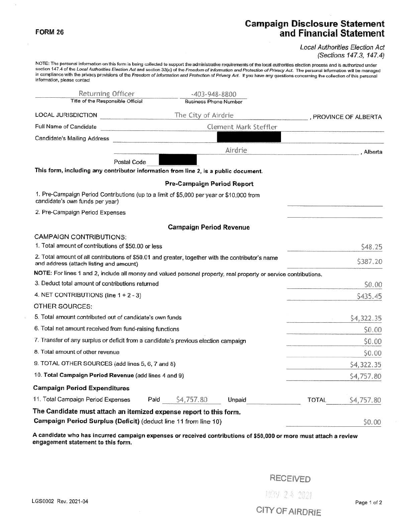## **FORM 26**

## **Campaign Disclosure Statement and Financial Statement**

Local Authorities Election Act (Sections 147.3, 147A)

NOTE: The personal information on this form is being collected to support the administrative requirements of the local authorities election process and is authorized under section 147.4 of the Local Authorities Election Act and section 33(c) of the Freedom of Information and Protection of Privacy Act. The personal information will be managed in compliance with the privacy provisions of the Freedom of Information and Protection of Privacy Act. If you have any questions concerning the collection of this personal information, please contact

| Returning Officer<br>Title of the Responsible Official                                                                                       | -403-948-8800                     |                       |                     |            |  |
|----------------------------------------------------------------------------------------------------------------------------------------------|-----------------------------------|-----------------------|---------------------|------------|--|
|                                                                                                                                              | <b>Business Phone Number</b>      |                       |                     |            |  |
| LOCAL JURISDICTION                                                                                                                           | The City of Airdrie               |                       | FROVINCE OF ALBERTA |            |  |
| Full Name of Candidate                                                                                                                       |                                   | Clement Mark Steffler |                     |            |  |
| Candidate's Mailing Address                                                                                                                  |                                   |                       |                     |            |  |
|                                                                                                                                              |                                   | Airdrie               |                     | Alberta    |  |
| Postal Code<br>This form, including any contributor information from line 2, is a public document.                                           |                                   |                       |                     |            |  |
|                                                                                                                                              | <b>Pre-Campaign Period Report</b> |                       |                     |            |  |
| 1. Pre-Campaign Period Contributions (up to a limit of \$5,000 per year or \$10,000 from<br>candidate's own funds per year)                  |                                   |                       |                     |            |  |
| 2. Pre-Campaign Period Expenses                                                                                                              |                                   |                       |                     |            |  |
|                                                                                                                                              | <b>Campaign Period Revenue</b>    |                       |                     |            |  |
| <b>CAMPAIGN CONTRIBUTIONS:</b>                                                                                                               |                                   |                       |                     |            |  |
| 1. Total amount of contributions of \$50.00 or less                                                                                          |                                   |                       |                     | \$48.25    |  |
| 2. Total amount of all contributions of \$50.01 and greater, together with the contributor's name<br>and address (attach listing and amount) |                                   |                       |                     | \$387.20   |  |
| NOTE: For lines 1 and 2, include all money and valued personal property, real property or service contributions.                             |                                   |                       |                     |            |  |
| 3. Deduct total amount of contributions returned                                                                                             |                                   |                       |                     | \$0.00     |  |
| 4. NET CONTRIBUTIONS (line $1 + 2 - 3$ )                                                                                                     |                                   |                       |                     | \$435.45   |  |
| OTHER SOURCES:                                                                                                                               |                                   |                       |                     |            |  |
| 5. Total amount contributed out of candidate's own funds                                                                                     |                                   |                       |                     | \$4,322.35 |  |
| 6. Total net amount received from fund-raising functions                                                                                     |                                   |                       |                     | \$0.00     |  |
| 7. Transfer of any surplus or deficit from a candidate's previous election campaign                                                          |                                   |                       |                     | \$0.00     |  |
| 8. Total amount of other revenue                                                                                                             |                                   |                       |                     | \$0.00     |  |
| 9. TOTAL OTHER SOURCES (add lines 5, 6, 7 and 8)                                                                                             |                                   |                       |                     | \$4,322.35 |  |
| 10. Total Campaign Period Revenue (add lines 4 and 9)                                                                                        |                                   |                       |                     | \$4,757.80 |  |
| <b>Campaign Period Expenditures</b>                                                                                                          |                                   |                       |                     |            |  |
| 11. Total Campaign Period Expenses                                                                                                           | \$4,757.80<br>Paid                | Unpaid                | <b>TOTAL</b>        | \$4,757.80 |  |
| The Candidate must attach an itemized expense report to this form.                                                                           |                                   |                       |                     |            |  |
| Campaign Period Surplus (Deficit) (deduct line 11 from line 10)                                                                              |                                   |                       |                     | \$0.00     |  |

**A candidate who has incurred campaign expenses or received contributions of \$50,000 or more must attach a review engagement statement to this form.** 

RECEIVED

 $\textsf{\textbf{LGS0002}}$  Rev. 2021-04 Page 1 of 2

CITY OF AIRDRIE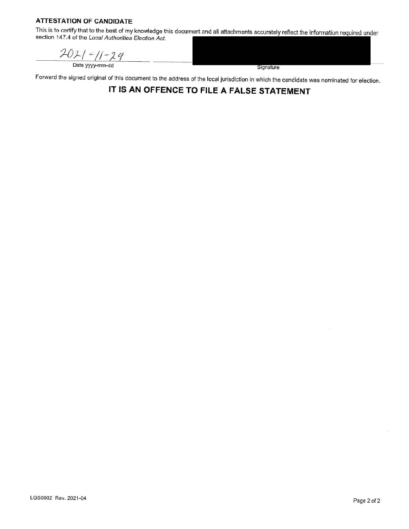## **ATTESTATION OF CANDIDATE**

This is to certify that to the best of my knowledge this document and all attachments accurately reflect the information required under section 147.4 of the Local Authorities Election Act.

 $202/2/729$ <br>Date yyyy-mm-dd

Signature

Forward the signed original of this document to the address of the local jurisdiction in which the candidate was nominated for election.

**IT IS AN OFFENCE TO FILE A FALSE STATEMENT**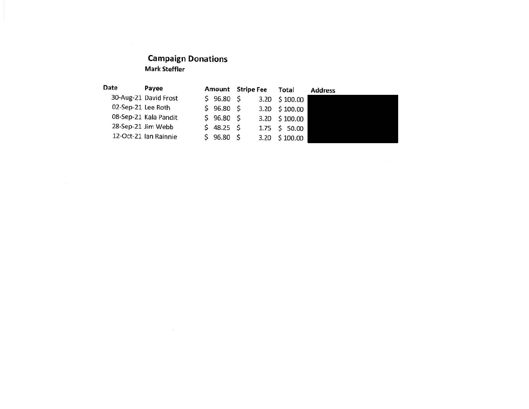## **Campaign Donations Mark Steffler**

 $\lambda$ 

| Date               | Payee                 | Amount    | <b>Stripe Fee</b> | Total                | <b>Address</b> |
|--------------------|-----------------------|-----------|-------------------|----------------------|----------------|
|                    | 30-Aug-21 David Frost | \$96.80\$ |                   | 3.20 \$100.00        |                |
| 02-Sep-21 Lee Roth |                       | \$96.80\$ |                   | $3.20 \quad $100.00$ |                |
|                    | 08-Sep-21 Kala Pandit | \$96.80\$ |                   | 3.20 \$100.00        |                |
|                    | 28-Sep-21 Jim Webb    | \$48.25\$ |                   | $1.75 \t5 50.00$     |                |
|                    | 12-Oct-21 Ian Rainnie | \$96.80\$ |                   | 3.20 \$100.00        |                |